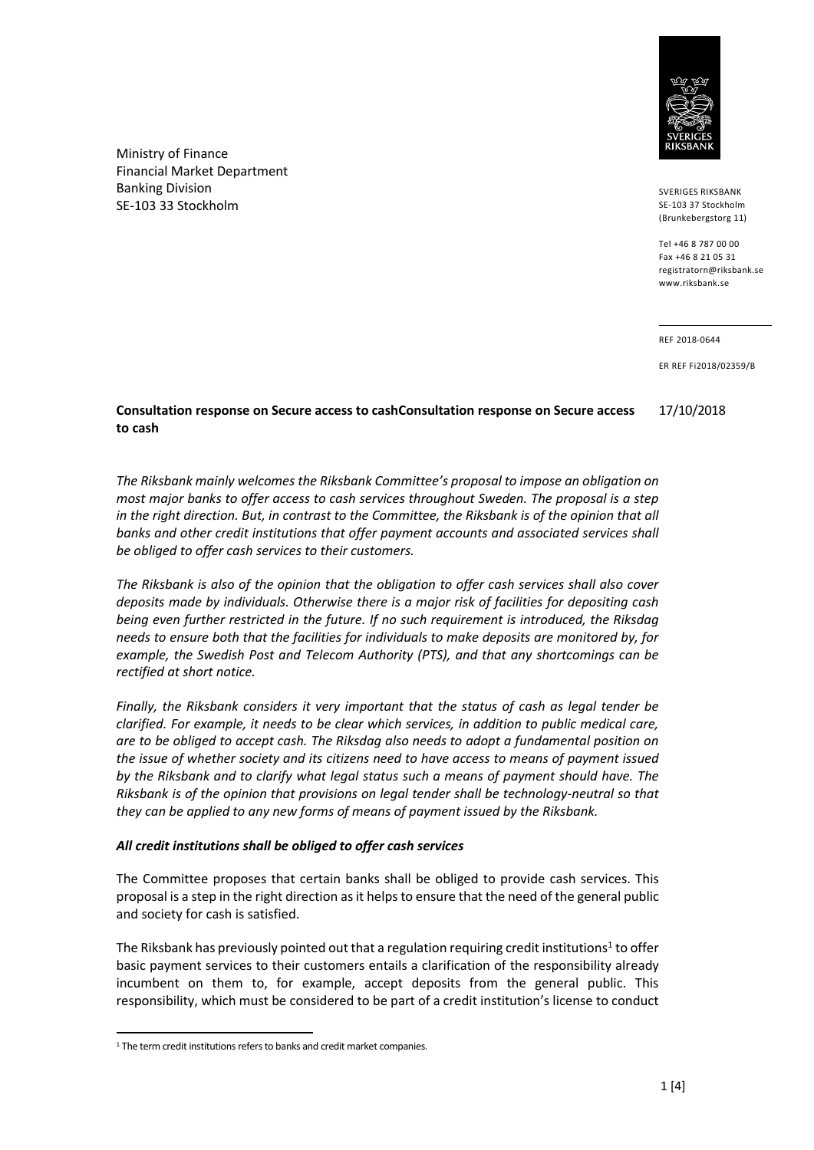

Ministry of Finance Financial Market Department Banking Division SE-103 33 Stockholm

SVERIGES RIKSBANK SE-103 37 Stockholm (Brunkebergstorg 11)

Tel +46 8 787 00 00 Fax +46 8 21 05 31 registratorn@riksbank.se www.riksbank.se

REF 2018-0644

ER REF Fi2018/02359/B

#### **Consultation response on Secure access to cashConsultation response on Secure access to cash** 17/10/2018

*The Riksbank mainly welcomes the Riksbank Committee's proposal to impose an obligation on most major banks to offer access to cash services throughout Sweden. The proposal is a step*  in the right direction. But, in contrast to the Committee, the Riksbank is of the opinion that all banks and other credit institutions that offer payment accounts and associated services shall *be obliged to offer cash services to their customers.* 

*The Riksbank is also of the opinion that the obligation to offer cash services shall also cover deposits made by individuals. Otherwise there is a major risk of facilities for depositing cash being even further restricted in the future. If no such requirement is introduced, the Riksdag needs to ensure both that the facilities for individuals to make deposits are monitored by, for example, the Swedish Post and Telecom Authority (PTS), and that any shortcomings can be rectified at short notice.*

*Finally, the Riksbank considers it very important that the status of cash as legal tender be clarified. For example, it needs to be clear which services, in addition to public medical care, are to be obliged to accept cash. The Riksdag also needs to adopt a fundamental position on the issue of whether society and its citizens need to have access to means of payment issued by the Riksbank and to clarify what legal status such a means of payment should have. The Riksbank is of the opinion that provisions on legal tender shall be technology-neutral so that they can be applied to any new forms of means of payment issued by the Riksbank.* 

## *All credit institutions shall be obliged to offer cash services*

The Committee proposes that certain banks shall be obliged to provide cash services. This proposal is a step in the right direction as it helps to ensure that the need of the general public and society for cash is satisfied.

The Riksbank has previously pointed out that a regulation requiring credit institutions<sup>1</sup> to offer basic payment services to their customers entails a clarification of the responsibility already incumbent on them to, for example, accept deposits from the general public. This responsibility, which must be considered to be part of a credit institution's license to conduct

-

<sup>&</sup>lt;sup>1</sup> The term credit institutions refers to banks and credit market companies.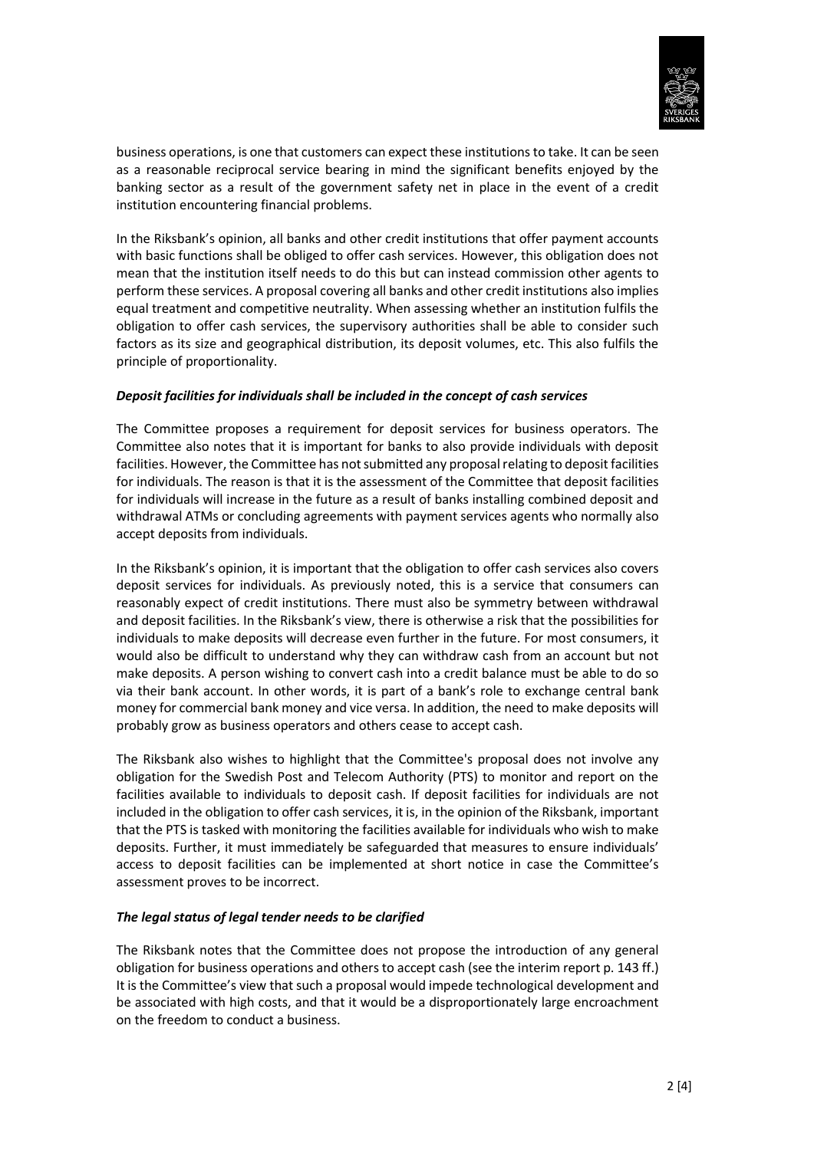

business operations, is one that customers can expect these institutions to take. It can be seen as a reasonable reciprocal service bearing in mind the significant benefits enjoyed by the banking sector as a result of the government safety net in place in the event of a credit institution encountering financial problems.

In the Riksbank's opinion, all banks and other credit institutions that offer payment accounts with basic functions shall be obliged to offer cash services. However, this obligation does not mean that the institution itself needs to do this but can instead commission other agents to perform these services. A proposal covering all banks and other credit institutions also implies equal treatment and competitive neutrality. When assessing whether an institution fulfils the obligation to offer cash services, the supervisory authorities shall be able to consider such factors as its size and geographical distribution, its deposit volumes, etc. This also fulfils the principle of proportionality.

# *Deposit facilities for individuals shall be included in the concept of cash services*

The Committee proposes a requirement for deposit services for business operators. The Committee also notes that it is important for banks to also provide individuals with deposit facilities. However, the Committee has not submitted any proposal relating to deposit facilities for individuals. The reason is that it is the assessment of the Committee that deposit facilities for individuals will increase in the future as a result of banks installing combined deposit and withdrawal ATMs or concluding agreements with payment services agents who normally also accept deposits from individuals.

In the Riksbank's opinion, it is important that the obligation to offer cash services also covers deposit services for individuals. As previously noted, this is a service that consumers can reasonably expect of credit institutions. There must also be symmetry between withdrawal and deposit facilities. In the Riksbank's view, there is otherwise a risk that the possibilities for individuals to make deposits will decrease even further in the future. For most consumers, it would also be difficult to understand why they can withdraw cash from an account but not make deposits. A person wishing to convert cash into a credit balance must be able to do so via their bank account. In other words, it is part of a bank's role to exchange central bank money for commercial bank money and vice versa. In addition, the need to make deposits will probably grow as business operators and others cease to accept cash.

The Riksbank also wishes to highlight that the Committee's proposal does not involve any obligation for the Swedish Post and Telecom Authority (PTS) to monitor and report on the facilities available to individuals to deposit cash. If deposit facilities for individuals are not included in the obligation to offer cash services, it is, in the opinion of the Riksbank, important that the PTS is tasked with monitoring the facilities available for individuals who wish to make deposits. Further, it must immediately be safeguarded that measures to ensure individuals' access to deposit facilities can be implemented at short notice in case the Committee's assessment proves to be incorrect.

# *The legal status of legal tender needs to be clarified*

The Riksbank notes that the Committee does not propose the introduction of any general obligation for business operations and others to accept cash (see the interim report p. 143 ff.) It is the Committee's view that such a proposal would impede technological development and be associated with high costs, and that it would be a disproportionately large encroachment on the freedom to conduct a business.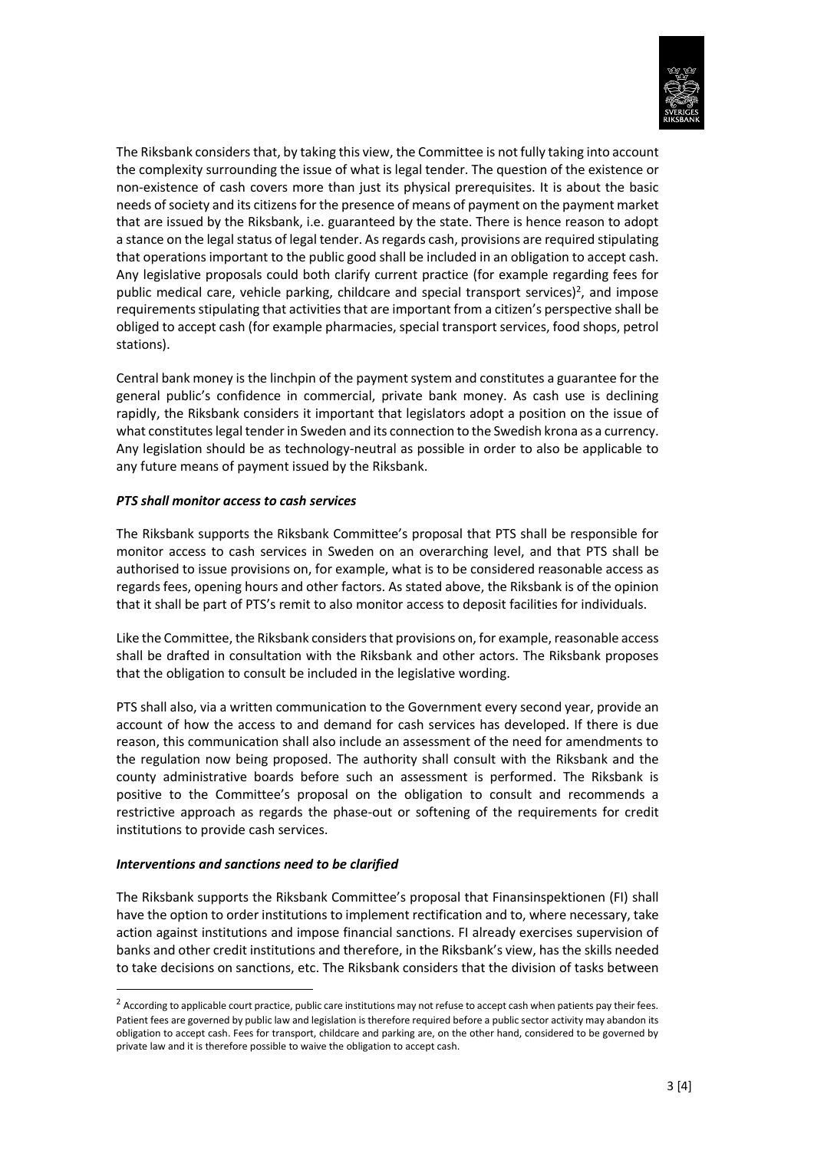

The Riksbank considers that, by taking this view, the Committee is not fully taking into account the complexity surrounding the issue of what is legal tender. The question of the existence or non-existence of cash covers more than just its physical prerequisites. It is about the basic needs of society and its citizens for the presence of means of payment on the payment market that are issued by the Riksbank, i.e. guaranteed by the state. There is hence reason to adopt a stance on the legal status of legal tender. As regards cash, provisions are required stipulating that operations important to the public good shall be included in an obligation to accept cash. Any legislative proposals could both clarify current practice (for example regarding fees for public medical care, vehicle parking, childcare and special transport services)<sup>2</sup>, and impose requirements stipulating that activities that are important from a citizen's perspective shall be obliged to accept cash (for example pharmacies, special transport services, food shops, petrol stations).

Central bank money is the linchpin of the payment system and constitutes a guarantee for the general public's confidence in commercial, private bank money. As cash use is declining rapidly, the Riksbank considers it important that legislators adopt a position on the issue of what constitutes legal tender in Sweden and its connection to the Swedish krona as a currency. Any legislation should be as technology-neutral as possible in order to also be applicable to any future means of payment issued by the Riksbank.

# *PTS shall monitor access to cash services*

The Riksbank supports the Riksbank Committee's proposal that PTS shall be responsible for monitor access to cash services in Sweden on an overarching level, and that PTS shall be authorised to issue provisions on, for example, what is to be considered reasonable access as regards fees, opening hours and other factors. As stated above, the Riksbank is of the opinion that it shall be part of PTS's remit to also monitor access to deposit facilities for individuals.

Like the Committee, the Riksbank considers that provisions on, for example, reasonable access shall be drafted in consultation with the Riksbank and other actors. The Riksbank proposes that the obligation to consult be included in the legislative wording.

PTS shall also, via a written communication to the Government every second year, provide an account of how the access to and demand for cash services has developed. If there is due reason, this communication shall also include an assessment of the need for amendments to the regulation now being proposed. The authority shall consult with the Riksbank and the county administrative boards before such an assessment is performed. The Riksbank is positive to the Committee's proposal on the obligation to consult and recommends a restrictive approach as regards the phase-out or softening of the requirements for credit institutions to provide cash services.

## *Interventions and sanctions need to be clarified*

-

The Riksbank supports the Riksbank Committee's proposal that Finansinspektionen (FI) shall have the option to order institutions to implement rectification and to, where necessary, take action against institutions and impose financial sanctions. FI already exercises supervision of banks and other credit institutions and therefore, in the Riksbank's view, has the skills needed to take decisions on sanctions, etc. The Riksbank considers that the division of tasks between

 $2$  According to applicable court practice, public care institutions may not refuse to accept cash when patients pay their fees. Patient fees are governed by public law and legislation is therefore required before a public sector activity may abandon its obligation to accept cash. Fees for transport, childcare and parking are, on the other hand, considered to be governed by private law and it is therefore possible to waive the obligation to accept cash.